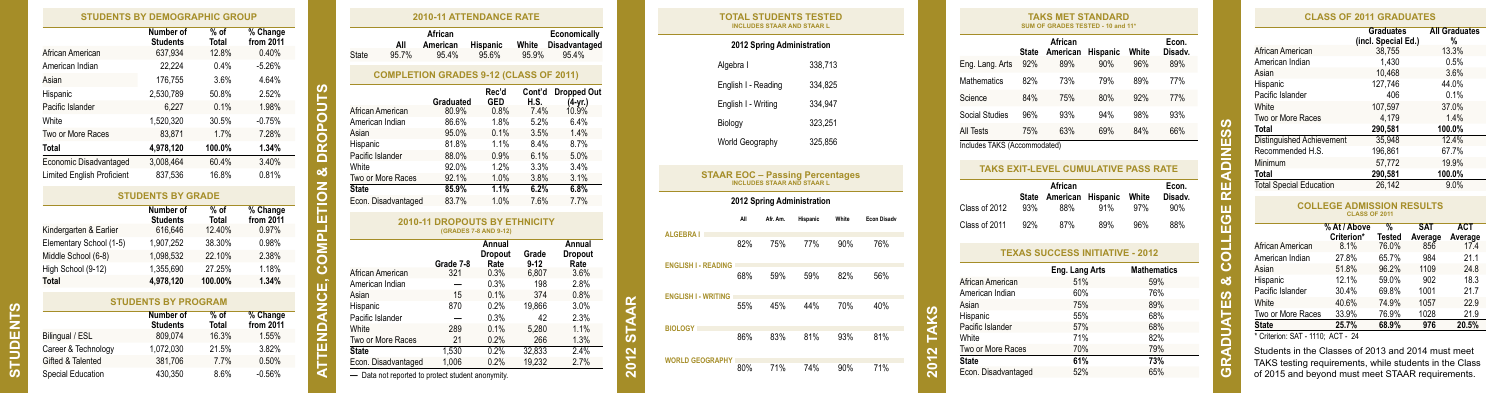|                                   | STUDENTS BY DEMOGRAPHIC GROUP |                        |                                |
|-----------------------------------|-------------------------------|------------------------|--------------------------------|
| African American                  | Number of<br><b>Students</b>  | % of<br>Total<br>12.8% | % Change<br>from 2011<br>0.40% |
|                                   | 637,934                       |                        |                                |
| American Indian                   | 22.224                        | 0.4%                   | $-5.26%$                       |
| Asian                             | 176,755                       | 3.6%                   | 4.64%                          |
| Hispanic                          | 2.530.789                     | 50.8%                  | 2.52%                          |
| Pacific Islander                  | 6.227                         | 0.1%                   | 1.98%                          |
| White                             | 1,520,320                     | 30.5%                  | $-0.75%$                       |
| Two or More Races                 | 83.871                        | 1.7%                   | 7.28%                          |
| Total                             | 4.978.120                     | 100.0%                 | 1.34%                          |
| Economic Disadvantaged            | 3.008.464                     | 60.4%                  | 3.40%                          |
| <b>Limited English Proficient</b> | 837.536                       | 16.8%                  | 0.81%                          |
|                                   | <b>STUDENTS BY GRADE</b>      |                        |                                |
|                                   | Number of<br><b>Students</b>  | $%$ of<br>Total        | % Change<br>from 2011          |
| Kindergarten & Earlier            | 616.646                       | 12.40%                 | 0.97%                          |
| Elementary School (1-5)           | 1.907.252                     | 38.30%                 | 0.98%                          |
| Middle School (6-8)               | 1,098,532                     | 22.10%                 | 2.38%                          |
| High School (9-12)                | 1.355.690                     | 27.25%                 | 1.18%                          |
| <b>Total</b>                      | 4.978.120                     | 100.00%                | 1.34%                          |
|                                   | <b>STUDENTS BY PROGRAM</b>    |                        |                                |
|                                   | Number of<br><b>Students</b>  | $%$ of<br>Total        | % Change<br>from 2011          |
| Bilingual / ESL                   | 809.074                       | 16.3%                  | 1.55%                          |
| Career & Technology               | 1,072,030                     | 21.5%                  | 3.82%                          |
| Gifted & Talented                 | 381.706                       | 7.7%                   | 0.50%                          |
| Special Education                 | 430.350                       | 8.6%                   | $-0.56%$                       |

**STUDENTS**

**STUDENTS** 

**STUDENTS BY DEMOGRAPHIC GROUP**

|                  |                     | African                                       |                           |                   | Economically                      |
|------------------|---------------------|-----------------------------------------------|---------------------------|-------------------|-----------------------------------|
| State            | All<br>95.7%        | American<br>95.4%                             | Hispanic<br>95.6%         | White<br>95.9%    | Disadvantaged<br>954%             |
|                  |                     |                                               |                           |                   |                                   |
|                  |                     | <b>COMPLETION GRADES 9-12 (CLASS OF 2011)</b> |                           |                   |                                   |
|                  |                     | Graduated                                     | Rec'd<br>GED              | Cont'd<br>H.S.    | <b>Dropped Out</b><br>$(4 - yr.)$ |
| African American |                     | 80.9%                                         | 0.8%                      | 7.4%              | 10.9%                             |
| American Indian  |                     | 86.6%                                         | 1.8%                      | 5.2%              | 6.4%                              |
| Asian            |                     | 95.0%                                         | 0.1%                      | 3.5%              | 1.4%                              |
| Hispanic         |                     | 81.8%                                         | 1.1%                      | 8.4%              | 8.7%                              |
| Pacific Islander |                     | 88.0%                                         | 0.9%                      | 6.1%              | 5.0%                              |
| White            |                     | 92.0%                                         | 1.2%                      | 3.3%              | 3.4%                              |
|                  | Two or More Races   | 92.1%                                         | 1.0%                      | 3.8%              | 3.1%                              |
| <b>State</b>     |                     | 85.9%                                         | 1.1%                      | 6.2%              | 6.8%                              |
|                  | Econ. Disadvantaged | 83.7%                                         | 1.0%                      | 7.6%              | 7.7%                              |
|                  |                     | <b>2010-11 DROPOUTS BY ETHNICITY</b>          |                           |                   |                                   |
|                  |                     |                                               | (GRADES 7-8 AND 9-12)     |                   |                                   |
|                  |                     |                                               |                           |                   |                                   |
|                  |                     | Grade 7-8                                     | Annual<br>Dropout<br>Rate | Grade<br>$9 - 12$ | Annual<br>Dropout<br>Rate         |
| African American |                     | 321                                           | 0.3%                      | 6.807             | 3.6%                              |
| American Indian  |                     |                                               | 0.3%                      | 198               | 2.8%                              |
| Asian            |                     | 15                                            | 0.1%                      | 374               | 0.8%                              |
| Hispanic         |                     | 870                                           | 0.2%                      | 19.866            | 3.0%                              |
| Pacific Islander |                     |                                               | 0.3%                      | 42                | 2.3%                              |
| <b>White</b>     |                     | 289                                           | 0.1%                      | 5.280             | 1.1%                              |
|                  | Two or More Races   | 21                                            | 0.2%                      | 266               | 1.3%                              |
| <b>State</b>     |                     | 1.530                                         | 0.2%                      | 32.833            | 2.4%                              |

**ATTENDANCE, COMPLETION & DROPOUTS**

| <b>TOTAL STUDENTS TESTED</b><br><b>INCLUDES STAAR AND STAAR L</b> |                     |          |                                                                             |       |                    |  |  |
|-------------------------------------------------------------------|---------------------|----------|-----------------------------------------------------------------------------|-------|--------------------|--|--|
| 2012 Spring Administration                                        |                     |          |                                                                             |       |                    |  |  |
| Algebra I<br>338.713                                              |                     |          |                                                                             |       |                    |  |  |
|                                                                   | English I - Reading | 334.825  |                                                                             |       |                    |  |  |
|                                                                   | English I - Writing | 334.947  |                                                                             |       |                    |  |  |
| Biology                                                           |                     |          | 323,251                                                                     |       |                    |  |  |
|                                                                   | World Geography     |          | 325,856                                                                     |       |                    |  |  |
|                                                                   |                     |          |                                                                             |       |                    |  |  |
|                                                                   |                     |          | <b>STAAR EOC - Passing Percentages</b><br><b>INCLUDES STAAR AND STAAR L</b> |       |                    |  |  |
|                                                                   |                     |          | 2012 Spring Administration                                                  |       |                    |  |  |
|                                                                   | All                 | Afr. Am. | Hispanic                                                                    | White | <b>Econ Disady</b> |  |  |
| <b>ALGEBRA I</b>                                                  | 82%                 | 75%      | 77%                                                                         | 90%   | 76%                |  |  |
| <b>ENGLISH I - READING</b>                                        |                     |          |                                                                             |       |                    |  |  |
|                                                                   |                     |          |                                                                             |       |                    |  |  |
|                                                                   | 68%                 | 59%      | 59%                                                                         | 82%   | 56%                |  |  |
| <b>ENGLISH I - WRITING</b>                                        |                     |          |                                                                             |       |                    |  |  |
|                                                                   | 55%                 | 45%      | 44%                                                                         | 70%   | 40%                |  |  |
| <b>BIOLOGY</b>                                                    | 86%                 | 83%      | 81%                                                                         | 93%   | 81%                |  |  |
| <b>WORLD GEOGRAPHY</b>                                            | 80%                 | 71%      | 74%                                                                         | 90%   | 71%                |  |  |

**2012 STAAR**

 $\bullet$ 

| State             | African<br>American | Hispanic                            | White                        | Econ.<br>Disadv.                                                                                                                                              |  |
|-------------------|---------------------|-------------------------------------|------------------------------|---------------------------------------------------------------------------------------------------------------------------------------------------------------|--|
| 92%               | 89%                 | 90%                                 | 96%                          | 89%                                                                                                                                                           |  |
| 82%               | 73%                 | 79%                                 | 89%                          | 77%                                                                                                                                                           |  |
| 84%               | 75%                 | 80%                                 | 92%                          | 77%                                                                                                                                                           |  |
| 96%               | 93%                 | 94%                                 | 98%                          | 93%                                                                                                                                                           |  |
| 75%               | 63%                 | 69%                                 | 84%                          | 66%                                                                                                                                                           |  |
|                   |                     |                                     |                              |                                                                                                                                                               |  |
|                   |                     |                                     |                              |                                                                                                                                                               |  |
| <b>State</b>      | African<br>American | <b>Hispanic</b>                     | White                        | Econ.<br>Disadv.<br>90%                                                                                                                                       |  |
| 92%               | 87%                 | 89%                                 | 96%                          | 88%                                                                                                                                                           |  |
|                   |                     |                                     |                              |                                                                                                                                                               |  |
|                   |                     |                                     | <b>Mathematics</b>           |                                                                                                                                                               |  |
| African American  |                     |                                     |                              | 59%                                                                                                                                                           |  |
| American Indian   | 60%                 |                                     | 76%                          |                                                                                                                                                               |  |
| Asian<br>Hispanic |                     | 75%                                 |                              | 89%                                                                                                                                                           |  |
|                   |                     |                                     |                              |                                                                                                                                                               |  |
|                   | 55%                 |                                     |                              | 68%                                                                                                                                                           |  |
|                   | 57%                 |                                     | 68%                          |                                                                                                                                                               |  |
|                   | 71%                 |                                     |                              | 82%                                                                                                                                                           |  |
| Two or More Races | 70%<br>61%          |                                     |                              | 79%<br>73%                                                                                                                                                    |  |
|                   | 93%                 | Includes TAKS (Accommodated)<br>88% | 91%<br>Eng. Lang Arts<br>51% | <b>TAKS MET STANDARD</b><br>SUM OF GRADES TESTED - 10 and 11*<br><b>TAKS EXIT-LEVEL CUMULATIVE PASS RATE</b><br>97%<br><b>TEXAS SUCCESS INITIATIVE - 2012</b> |  |

|                                |                                                          | <b>Graduates</b><br>(incl. Special Ed.) |                       | <b>All Graduates</b><br>% |
|--------------------------------|----------------------------------------------------------|-----------------------------------------|-----------------------|---------------------------|
| African American               |                                                          | 38,755                                  |                       | 13.3%                     |
| American Indian                |                                                          | 1.430                                   |                       | 0.5%                      |
| Asian                          |                                                          | 10.468                                  |                       | 3.6%                      |
| Hispanic                       |                                                          | 127,746                                 |                       | 44.0%                     |
| Pacific Islander               |                                                          | 406                                     |                       | 0.1%                      |
| White                          |                                                          | 107.597                                 |                       | 37.0%                     |
| Two or More Races              |                                                          | 4.179                                   |                       | 1.4%                      |
| Total                          |                                                          | 290.581                                 |                       | 100.0%                    |
| Distinguished Achievement      |                                                          | 35.948                                  |                       | 12.4%                     |
| Recommended H.S.               |                                                          | 196.861                                 |                       | 67.7%                     |
| Minimum                        |                                                          | 57.772                                  |                       | 19.9%                     |
| Total                          |                                                          | 290,581                                 |                       | 100.0%                    |
| <b>Total Special Education</b> |                                                          | 26.142                                  |                       | 9.0%                      |
|                                | <b>COLLEGE ADMISSION RESULTS</b><br><b>CLASS OF 2011</b> |                                         |                       |                           |
|                                | % At / Ahove<br>Criterion*                               | $\frac{9}{6}$<br>Tested                 | <b>SAT</b><br>Average | <b>ACT</b><br>Average     |
| African American               | 8.1%                                                     | 76.0%                                   | 856                   | 17 <sup>7</sup>           |
| American Indian                | 27.8%                                                    | 65.7%                                   | 984                   | 21.1                      |
| Asian                          | 51.8%                                                    | 96.2%                                   | 1109                  | 24.8                      |
| Hispanic                       | 12.1%                                                    | 59.0%                                   | 902                   | 18.3                      |
| Pacific Islander               | 30.4%                                                    | 69.8%                                   | 1001                  | 21.7                      |
| White                          | 40.6%                                                    | 74.9%                                   | 1057                  | 22.9                      |
| Two or More Races              | 33.9%                                                    | 76.9%                                   | 1028                  | 21.9                      |
| <b>State</b>                   | 25.7%                                                    | 68.9%                                   | 976                   | 20.5%                     |

**GRADUATES & COLLEGE READINESS**

್ರ

Ō

ш

- A

္တိ

ш **NICN** 

Students in the Classes of 2013 and 2014 must meet TAKS testing requirements, while students in the Class of 2015 and beyond must meet STAAR requirements.